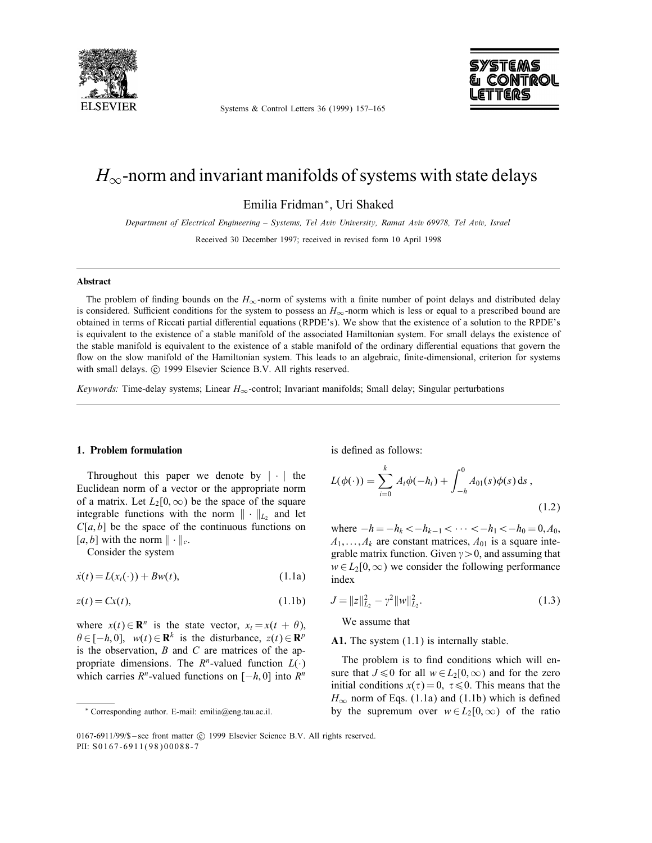

Systems & Control Letters 36 (1999) 157–165



# $H_{\infty}$ -norm and invariant manifolds of systems with state delays

Emilia Fridman∗, Uri Shaked

Department of Electrical Engineering – Systems, Tel Aviv University, Ramat Aviv 69978, Tel Aviv, Israel

Received 30 December 1997; received in revised form 10 April 1998

#### Abstract

The problem of finding bounds on the  $H_{\infty}$ -norm of systems with a finite number of point delays and distributed delay is considered. Sufficient conditions for the system to possess an  $H_{\infty}$ -norm which is less or equal to a prescribed bound are obtained in terms of Riccati partial differential equations (RPDE's). We show that the existence of a solution to the RPDE's is equivalent to the existence of a stable manifold of the associated Hamiltonian system. For small delays the existence of the stable manifold is equivalent to the existence of a stable manifold of the ordinary differential equations that govern the flow on the slow manifold of the Hamiltonian system. This leads to an algebraic, finite-dimensional, criterion for systems with small delays. © 1999 Elsevier Science B.V. All rights reserved.

Keywords: Time-delay systems; Linear  $H_{\infty}$ -control; Invariant manifolds; Small delay; Singular perturbations

### 1. Problem formulation

Throughout this paper we denote by  $|\cdot|$  the Euclidean norm of a vector or the appropriate norm of a matrix. Let  $L_2[0,\infty)$  be the space of the square integrable functions with the norm  $\|\cdot\|_{L_2}$  and let  $C[a, b]$  be the space of the continuous functions on [a, b] with the norm  $\|\cdot\|_c$ .

Consider the system

 $\dot{x}(t) = L(x_t(\cdot)) + Bw(t),$  (1.1a)

$$
z(t) = Cx(t), \tag{1.1b}
$$

where  $x(t) \in \mathbb{R}^n$  is the state vector,  $x_t = x(t + \theta)$ ,  $\theta \in [-h, 0], \quad w(t) \in \mathbb{R}^k$  is the disturbance,  $z(t) \in \mathbb{R}^p$ is the observation,  $B$  and  $C$  are matrices of the appropriate dimensions. The  $R<sup>n</sup>$ -valued function  $L(\cdot)$ which carries  $R<sup>n</sup>$ -valued functions on [−h, 0] into  $R<sup>n</sup>$  is defined as follows:

$$
L(\phi(\cdot)) = \sum_{i=0}^{k} A_i \phi(-h_i) + \int_{-h}^{0} A_{01}(s) \phi(s) ds,
$$
\n(1.2)

where  $-h = -h_k < -h_{k-1} < \cdots < -h_1 < -h_0 = 0, A_0$ ,  $A_1,\ldots,A_k$  are constant matrices,  $A_{01}$  is a square integrable matrix function. Given  $\gamma > 0$ , and assuming that  $w \in L_2[0,\infty)$  we consider the following performance index

$$
J = ||z||_{L_2}^2 - \gamma^2 ||w||_{L_2}^2.
$$
 (1.3)

We assume that

A1. The system  $(1.1)$  is internally stable.

The problem is to find conditions which will ensure that  $J \le 0$  for all  $w \in L_2[0,\infty)$  and for the zero initial conditions  $x(\tau)=0, \ \tau \leq 0$ . This means that the  $H_{\infty}$  norm of Eqs. (1.1a) and (1.1b) which is defined by the supremum over  $w \in L_2[0,\infty)$  of the ratio

<sup>∗</sup> Corresponding author. E-mail: emilia@eng.tau.ac.il.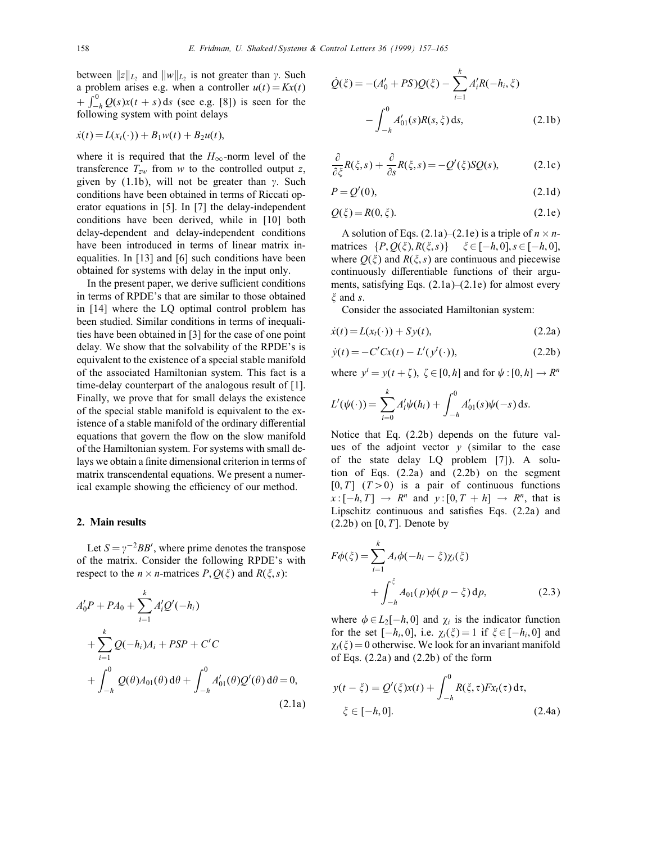between  $||z||_{L_2}$  and  $||w||_{L_2}$  is not greater than  $\gamma$ . Such a problem arises e.g. when a controller  $u(t) = Kx(t)$ +  $\int_{-h}^{0} Q(s)x(t + s) ds$  (see e.g. [8]) is seen for the following system with point delays

$$
\dot{x}(t) = L(x_t(\cdot)) + B_1w(t) + B_2u(t),
$$

where it is required that the  $H_{\infty}$ -norm level of the transference  $T_{zw}$  from w to the controlled output z, given by (1.1b), will not be greater than  $\gamma$ . Such conditions have been obtained in terms of Riccati operator equations in [5]. In [7] the delay-independent conditions have been derived, while in [10] both delay-dependent and delay-independent conditions have been introduced in terms of linear matrix inequalities. In [13] and [6] such conditions have been obtained for systems with delay in the input only.

In the present paper, we derive sufficient conditions in terms of RPDE's that are similar to those obtained in [14] where the LQ optimal control problem has been studied. Similar conditions in terms of inequalities have been obtained in [3] for the case of one point delay. We show that the solvability of the RPDE's is equivalent to the existence of a special stable manifold of the associated Hamiltonian system. This fact is a time-delay counterpart of the analogous result of [1]. Finally, we prove that for small delays the existence of the special stable manifold is equivalent to the existence of a stable manifold of the ordinary differential equations that govern the flow on the slow manifold of the Hamiltonian system. For systems with small delays we obtain a finite dimensional criterion in terms of matrix transcendental equations. We present a numerical example showing the efficiency of our method.

## 2. Main results

Let  $S = \gamma^{-2}BB'$ , where prime denotes the transpose of the matrix. Consider the following RPDE's with respect to the  $n \times n$ -matrices  $P, Q(\xi)$  and  $R(\xi, s)$ :

$$
A'_0 P + P A_0 + \sum_{i=1}^k A'_i Q'(-h_i)
$$
  
+ 
$$
\sum_{i=1}^k Q(-h_i) A_i + P S P + C' C
$$
  
+ 
$$
\int_{-h}^0 Q(\theta) A_{01}(\theta) d\theta + \int_{-h}^0 A'_{01}(\theta) Q'(\theta) d\theta = 0,
$$
  
(2.1a)

$$
\dot{Q}(\xi) = -(A'_0 + PS)Q(\xi) - \sum_{i=1}^k A'_i R(-h_i, \xi)
$$

$$
-\int_{-h}^0 A'_{01}(s)R(s, \xi) ds, \qquad (2.1b)
$$

$$
\frac{\partial}{\partial \xi}R(\xi,s) + \frac{\partial}{\partial s}R(\xi,s) = -Q'(\xi)SQ(s),\tag{2.1c}
$$

$$
P = Q'(0),\tag{2.1d}
$$

$$
Q(\xi) = R(0, \xi). \tag{2.1e}
$$

A solution of Eqs. (2.1a)–(2.1e) is a triple of  $n \times n$ matrices  ${P, Q(\xi), R(\xi, s)}$   $\xi \in [-h, 0], s \in [-h, 0],$ where  $Q(\xi)$  and  $R(\xi, s)$  are continuous and piecewise continuously differentiable functions of their arguments, satisfying Eqs.  $(2.1a)$ – $(2.1e)$  for almost every  $\xi$  and s.

Consider the associated Hamiltonian system:

$$
\dot{x}(t) = L(x_t(\cdot)) + Sy(t),\tag{2.2a}
$$

$$
\dot{y}(t) = -C'Cx(t) - L'(y^{t}(\cdot)),
$$
\n(2.2b)

where  $y' = y(t + \zeta)$ ,  $\zeta \in [0, h]$  and for  $\psi : [0, h] \to R^n$ 

$$
L'(\psi(\cdot)) = \sum_{i=0}^k A'_i \psi(h_i) + \int_{-h}^0 A'_{01}(s) \psi(-s) \, \mathrm{d} s.
$$

Notice that Eq. (2.2b) depends on the future values of the adjoint vector  $y$  (similar to the case of the state delay LQ problem [7]). A solution of Eqs. (2.2a) and (2.2b) on the segment  $[0, T]$   $(T>0)$  is a pair of continuous functions  $x: [-h, T] \rightarrow R^n$  and  $y: [0, T + h] \rightarrow R^n$ , that is Lipschitz continuous and satisfies Eqs.  $(2.2a)$  and  $(2.2b)$  on  $[0, T]$ . Denote by

$$
F\phi(\xi) = \sum_{i=1}^{k} A_i \phi(-h_i - \xi) \chi_i(\xi) + \int_{-h}^{\xi} A_{01}(p) \phi(p - \xi) dp,
$$
 (2.3)

where  $\phi \in L_2[-h, 0]$  and  $\chi_i$  is the indicator function for the set  $[-h_i, 0]$ , i.e.  $\chi_i(\xi) = 1$  if  $\xi \in [-h_i, 0]$  and  $\chi_i(\xi) = 0$  otherwise. We look for an invariant manifold of Eqs. (2.2a) and (2.2b) of the form

$$
y(t - \xi) = Q'(\xi)x(t) + \int_{-h}^{0} R(\xi, \tau) F x_t(\tau) d\tau,
$$
  

$$
\xi \in [-h, 0].
$$
 (2.4a)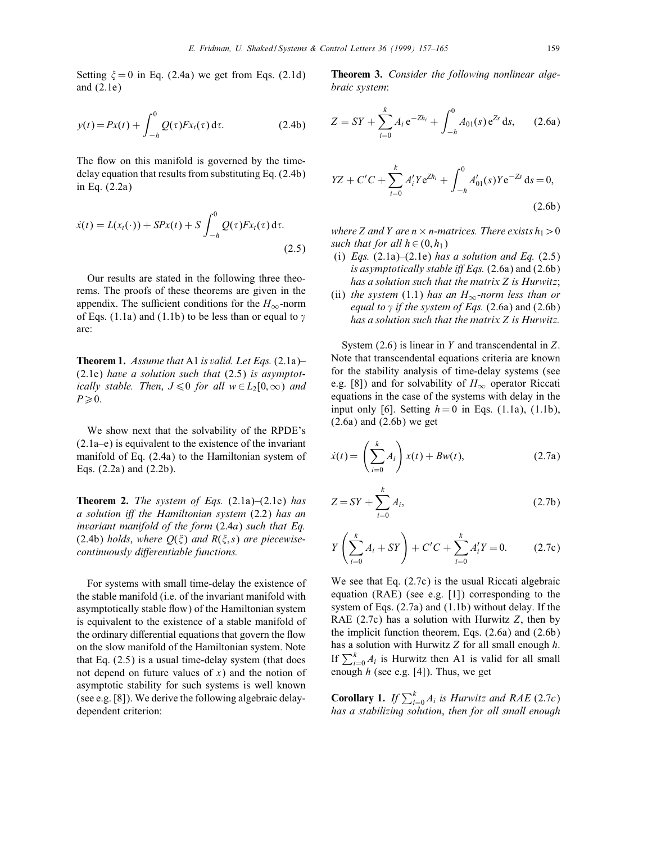Setting  $\xi = 0$  in Eq. (2.4a) we get from Eqs. (2.1d) and (2.1e)

$$
y(t) = Px(t) + \int_{-h}^{0} Q(\tau) F x_t(\tau) d\tau.
$$
 (2.4b)

The flow on this manifold is governed by the timedelay equation that results from substituting Eq. (2.4b) in Eq. (2.2a)

$$
\dot{x}(t) = L(x_t(\cdot)) + SPx(t) + S \int_{-h}^{0} Q(\tau) Fx_t(\tau) d\tau.
$$
\n(2.5)

Our results are stated in the following three theorems. The proofs of these theorems are given in the appendix. The sufficient conditions for the  $H_{\infty}$ -norm of Eqs. (1.1a) and (1.1b) to be less than or equal to  $\gamma$ are:

**Theorem 1.** Assume that A1 is valid. Let Eqs.  $(2.1a)$ – (2.1e) have a solution such that (2.5) is asymptotically stable. Then,  $J \le 0$  for all  $w \in L_2[0,\infty)$  and  $P\geqslant 0$ .

We show next that the solvability of the RPDE's (2.1a–e) is equivalent to the existence of the invariant manifold of Eq. (2.4a) to the Hamiltonian system of Eqs. (2.2a) and (2.2b).

**Theorem 2.** The system of Eqs.  $(2.1a)$ – $(2.1e)$  has a solution iff the Hamiltonian system  $(2.2)$  has an invariant manifold of the form (2:4a) such that Eq. (2.4b) holds, where  $Q(\xi)$  and  $R(\xi, s)$  are piecewisecontinuously differentiable functions.

For systems with small time-delay the existence of the stable manifold (i.e. of the invariant manifold with asymptotically stable flow) of the Hamiltonian system is equivalent to the existence of a stable manifold of the ordinary differential equations that govern the flow on the slow manifold of the Hamiltonian system. Note that Eq. (2.5) is a usual time-delay system (that does not depend on future values of  $x$ ) and the notion of asymptotic stability for such systems is well known (see e.g. [8]). We derive the following algebraic delaydependent criterion:

Theorem 3. Consider the following nonlinear algebraic system:

$$
Z = SY + \sum_{i=0}^{k} A_i e^{-Zh_i} + \int_{-h}^{0} A_{01}(s) e^{Zs} ds, \qquad (2.6a)
$$

$$
YZ + C'C + \sum_{i=0}^{k} A'_i Y e^{Zh_i} + \int_{-h}^{0} A'_{01}(s) Y e^{-Zs} ds = 0,
$$
\n(2.6b)

where Z and Y are  $n \times n$ -matrices. There exists  $h_1 > 0$ such that for all  $h \in (0, h_1)$ 

- (i) Eqs.  $(2.1a)$ – $(2.1e)$  has a solution and Eq.  $(2.5)$ is asymptotically stable iff Eqs.  $(2.6a)$  and  $(2.6b)$ has a solution such that the matrix Z is Hurwitz;
- (ii) the system (1.1) has an  $H_{\infty}$ -norm less than or equal to  $\gamma$  if the system of Eqs. (2.6a) and (2.6b) has a solution such that the matrix Z is Hurwitz.

System  $(2.6)$  is linear in Y and transcendental in Z. Note that transcendental equations criteria are known for the stability analysis of time-delay systems (see e.g. [8]) and for solvability of  $H_{\infty}$  operator Riccati equations in the case of the systems with delay in the input only [6]. Setting  $h = 0$  in Eqs. (1.1a), (1.1b),  $(2.6a)$  and  $(2.6b)$  we get

$$
\dot{x}(t) = \left(\sum_{i=0}^{k} A_i\right) x(t) + Bw(t),\tag{2.7a}
$$

$$
Z = SY + \sum_{i=0}^{k} A_i,
$$
\n(2.7b)

$$
Y\left(\sum_{i=0}^{k} A_i + SY\right) + C'C + \sum_{i=0}^{k} A'_i Y = 0.
$$
 (2.7c)

We see that Eq. (2.7c) is the usual Riccati algebraic equation (RAE) (see e.g. [1]) corresponding to the system of Eqs. (2.7a) and (1.1b) without delay. If the RAE  $(2.7c)$  has a solution with Hurwitz Z, then by the implicit function theorem, Eqs. (2.6a) and (2.6b) has a solution with Hurwitz  $Z$  for all small enough  $h$ . If  $\sum_{i=0}^{k} A_i$  is Hurwitz then A1 is valid for all small enough  $h$  (see e.g. [4]). Thus, we get

**Corollary 1.** If  $\sum_{i=0}^{k} A_i$  is Hurwitz and RAE (2.7c) has a stabilizing solution, then for all small enough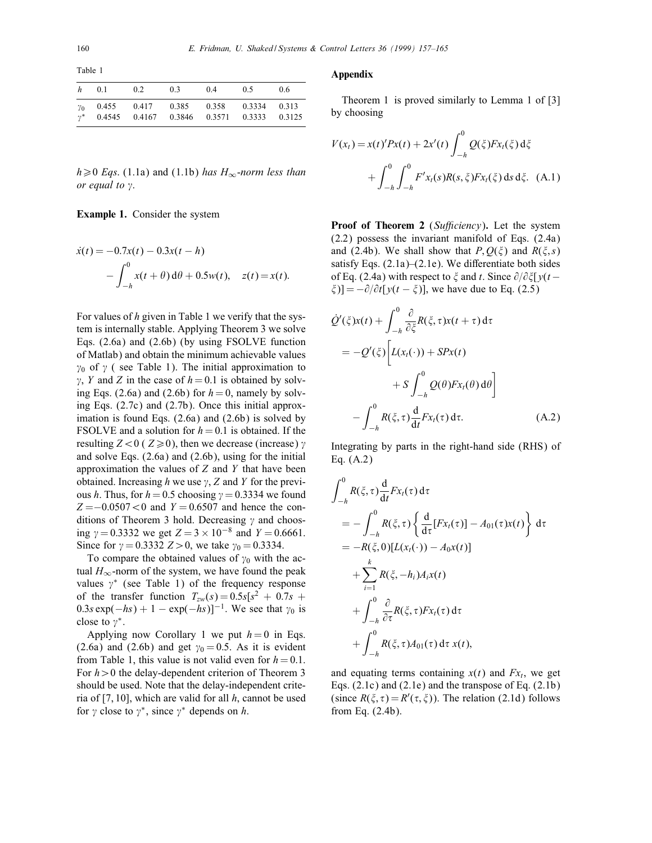Table 1

|                       |  | $h$ 0.1 0.2 0.3 0.4 0.5 |                                                                                   | 0.6 |
|-----------------------|--|-------------------------|-----------------------------------------------------------------------------------|-----|
| $\gamma_0$<br>$\nu^*$ |  |                         | 0.455 0.417 0.385 0.358 0.3334 0.313<br>0.4545 0.4167 0.3846 0.3571 0.3333 0.3125 |     |

 $h \ge 0$  Eqs. (1.1a) and (1.1b) has  $H_{\infty}$ -norm less than or equal to  $\gamma$ .

Example 1. Consider the system

$$
\dot{x}(t) = -0.7x(t) - 0.3x(t - h) \n- \int_{-h}^{0} x(t + \theta) d\theta + 0.5w(t), \quad z(t) = x(t).
$$

For values of  $h$  given in Table 1 we verify that the system is internally stable. Applying Theorem 3 we solve Eqs. (2.6a) and (2.6b) (by using FSOLVE function of Matlab) and obtain the minimum achievable values  $\gamma_0$  of  $\gamma$  (see Table 1). The initial approximation to  $\gamma$ , Y and Z in the case of  $h = 0.1$  is obtained by solving Eqs. (2.6a) and (2.6b) for  $h = 0$ , namely by solving Eqs. (2.7c) and (2.7b). Once this initial approximation is found Eqs. (2.6a) and (2.6b) is solved by FSOLVE and a solution for  $h = 0.1$  is obtained. If the resulting  $Z < 0$  (  $Z \ge 0$ ), then we decrease (increase)  $\gamma$ and solve Eqs. (2.6a) and (2.6b), using for the initial approximation the values of  $Z$  and  $Y$  that have been obtained. Increasing h we use  $\gamma$ , Z and Y for the previous h. Thus, for  $h = 0.5$  choosing  $\gamma = 0.3334$  we found  $Z = -0.0507 < 0$  and  $Y = 0.6507$  and hence the conditions of Theorem 3 hold. Decreasing  $\gamma$  and choosing  $\gamma = 0.3332$  we get  $Z = 3 \times 10^{-8}$  and  $Y = 0.6661$ . Since for  $\gamma = 0.3332 Z > 0$ , we take  $\gamma_0 = 0.3334$ .

To compare the obtained values of  $\gamma_0$  with the actual  $H_{\infty}$ -norm of the system, we have found the peak values  $\gamma^*$  (see Table 1) of the frequency response of the transfer function  $T_{zw}(s)=0.5s[s^2 + 0.7s +$  $0.3s \exp(-hs) + 1 - \exp(-hs)]^{-1}$ . We see that  $\gamma_0$  is close to  $\gamma^*$ .

Applying now Corollary 1 we put  $h = 0$  in Eqs. (2.6a) and (2.6b) and get  $\gamma_0 = 0.5$ . As it is evident from Table 1, this value is not valid even for  $h = 0.1$ . For  $h > 0$  the delay-dependent criterion of Theorem 3 should be used. Note that the delay-independent criteria of [7, 10], which are valid for all  $h$ , cannot be used for  $\gamma$  close to  $\gamma^*$ , since  $\gamma^*$  depends on h.

## Appendix

Theorem 1 is proved similarly to Lemma 1 of [3] by choosing

$$
V(x_t) = x(t)'Px(t) + 2x'(t) \int_{-h}^{0} Q(\xi)Fx_t(\xi) d\xi
$$
  
+ 
$$
\int_{-h}^{0} \int_{-h}^{0} F'x_t(s)R(s, \xi)Fx_t(\xi) ds d\xi.
$$
 (A.1)

**Proof of Theorem 2** (Sufficiency). Let the system  $(2.2)$  possess the invariant manifold of Eqs.  $(2.4a)$ and (2.4b). We shall show that  $P, Q(\xi)$  and  $R(\xi, s)$ satisfy Eqs.  $(2.1a)$ – $(2.1e)$ . We differentiate both sides of Eq. (2.4a) with respect to  $\xi$  and t. Since  $\partial/\partial \xi$   $y(t \xi$ )] =  $-\partial/\partial t[y(t - \xi)]$ , we have due to Eq. (2.5)

$$
\dot{Q}'(\xi)x(t) + \int_{-h}^{0} \frac{\partial}{\partial \xi} R(\xi, \tau)x(t + \tau) d\tau
$$
  
\n
$$
= -Q'(\xi) \left[ L(x_t(\cdot)) + SPx(t) + S P_x(\theta) d\theta \right]
$$
  
\n
$$
+ S \int_{-h}^{0} Q(\theta) Fx_t(\theta) d\theta \right]
$$
  
\n
$$
- \int_{-h}^{0} R(\xi, \tau) \frac{d}{dt} Fx_t(\tau) d\tau.
$$
 (A.2)

Integrating by parts in the right-hand side (RHS) of Eq. (A.2)

$$
\int_{-h}^{0} R(\xi, \tau) \frac{d}{dt} F x_t(\tau) d\tau
$$
\n
$$
= -\int_{-h}^{0} R(\xi, \tau) \left\{ \frac{d}{d\tau} [F x_t(\tau)] - A_{01}(\tau) x(t) \right\} d\tau
$$
\n
$$
= -R(\xi, 0)[L(x_t(\cdot)) - A_0 x(t)]
$$
\n
$$
+ \sum_{i=1}^{k} R(\xi, -h_i) A_i x(t)
$$
\n
$$
+ \int_{-h}^{0} \frac{\partial}{\partial \tau} R(\xi, \tau) F x_t(\tau) d\tau
$$
\n
$$
+ \int_{-h}^{0} R(\xi, \tau) A_{01}(\tau) d\tau x(t),
$$

and equating terms containing  $x(t)$  and  $Fx_{t}$ , we get Eqs. (2.1c) and (2.1e) and the transpose of Eq. (2.1b) (since  $R(\xi, \tau) = R'(\tau, \xi)$ ). The relation (2.1d) follows from Eq. (2.4b).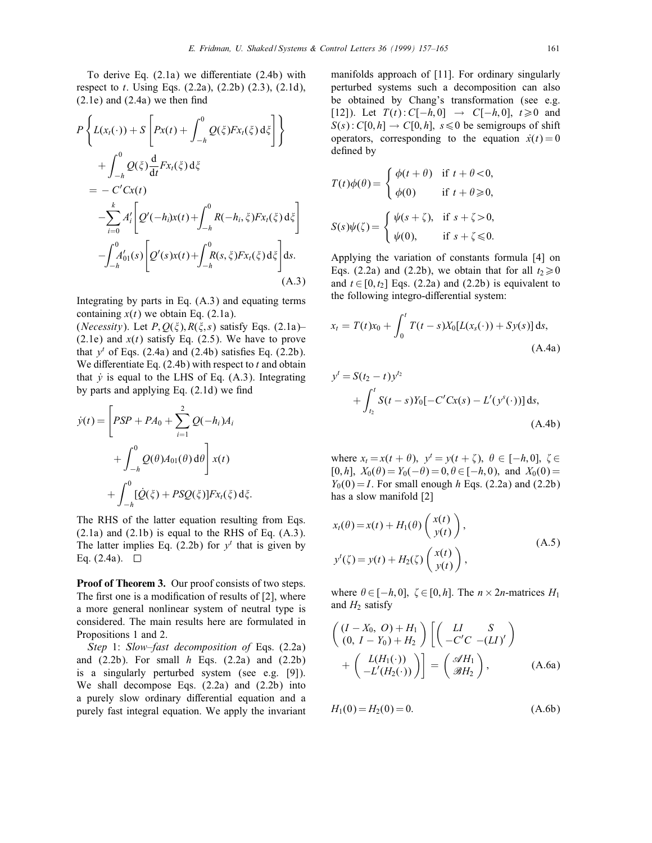To derive Eq.  $(2.1a)$  we differentiate  $(2.4b)$  with respect to t. Using Eqs.  $(2.2a)$ ,  $(2.2b)$   $(2.3)$ ,  $(2.1d)$ ,  $(2.1e)$  and  $(2.4a)$  we then find

$$
P\left\{L(x_t(\cdot)) + S\left[Px(t) + \int_{-h}^{0} Q(\xi)Fx_t(\xi) d\xi\right]\right\}+ \int_{-h}^{0} Q(\xi) \frac{d}{dt}Fx_t(\xi) d\xi= -C'Cx(t)- \sum_{i=0}^{k} A'_i \left[Q'(-h_i)x(t) + \int_{-h}^{0} R(-h_i, \xi)Fx_t(\xi) d\xi\right]- \int_{-h}^{0} A'_{01}(s) \left[Q'(s)x(t) + \int_{-h}^{0} R(s, \xi)Fx_t(\xi) d\xi\right] ds.
$$
\n(A.3)

Integrating by parts in Eq. (A.3) and equating terms containing  $x(t)$  we obtain Eq. (2.1a).

(*Necessity*). Let  $P, Q(\xi), R(\xi, s)$  satisfy Eqs. (2.1a)– (2.1e) and  $x(t)$  satisfy Eq. (2.5). We have to prove that  $y^t$  of Eqs. (2.4a) and (2.4b) satisfies Eq. (2.2b). We differentiate Eq.  $(2.4b)$  with respect to t and obtain that  $\dot{v}$  is equal to the LHS of Eq. (A.3). Integrating by parts and applying Eq.  $(2.1d)$  we find

$$
\dot{y}(t) = \left[ PSP + PA_0 + \sum_{i=1}^{2} Q(-h_i)A_i
$$

$$
+ \int_{-h}^{0} Q(\theta)A_{01}(\theta) d\theta \right] x(t)
$$

$$
+ \int_{-h}^{0} [\dot{Q}(\xi) + PSQ(\xi)]Fx_t(\xi) d\xi.
$$

The RHS of the latter equation resulting from Eqs.  $(2.1a)$  and  $(2.1b)$  is equal to the RHS of Eq.  $(A.3)$ . The latter implies Eq. (2.2b) for  $y^t$  that is given by Eq.  $(2.4a)$ .  $\Box$ 

Proof of Theorem 3. Our proof consists of two steps. The first one is a modification of results of  $[2]$ , where a more general nonlinear system of neutral type is considered. The main results here are formulated in Propositions 1 and 2.

Step 1: Slow–fast decomposition of Eqs. (2.2a) and  $(2.2b)$ . For small  $h$  Eqs.  $(2.2a)$  and  $(2.2b)$ is a singularly perturbed system (see e.g. [9]). We shall decompose Eqs. (2.2a) and (2.2b) into a purely slow ordinary differential equation and a purely fast integral equation. We apply the invariant manifolds approach of [11]. For ordinary singularly perturbed systems such a decomposition can also be obtained by Chang's transformation (see e.g. [12]). Let  $T(t): C[-h, 0] \rightarrow C[-h, 0], t \ge 0$  and  $S(s)$ : C[0, h]  $\rightarrow$  C[0, h],  $s \le 0$  be semigroups of shift operators, corresponding to the equation  $\dot{x}(t)=0$ defined by

$$
T(t)\phi(\theta) = \begin{cases} \phi(t+\theta) & \text{if } t+\theta < 0, \\ \phi(0) & \text{if } t+\theta \geq 0, \end{cases}
$$

$$
S(s)\psi(\zeta) = \begin{cases} \psi(s+\zeta), & \text{if } s+\zeta > 0, \\ \psi(0), & \text{if } s+\zeta \leq 0. \end{cases}
$$

Applying the variation of constants formula [4] on Eqs. (2.2a) and (2.2b), we obtain that for all  $t_2 \ge 0$ and  $t \in [0, t_2]$  Eqs. (2.2a) and (2.2b) is equivalent to the following integro-differential system:

$$
x_{t} = T(t)x_{0} + \int_{0}^{t} T(t-s)X_{0}[L(x_{s}(\cdot)) + Sy(s)] ds,
$$
\n(A.4a)

$$
y' = S(t_2 - t)y^{t_2}
$$
  
+  $\int_{t_2}^t S(t - s)Y_0[-C'Cx(s) - L'(y^s(\cdot))] ds,$   
(A.4b)

where  $x_t = x(t + \theta)$ ,  $y' = y(t + \zeta)$ ,  $\theta \in [-h, 0]$ ,  $\zeta \in$  $[0, h], X_0(\theta) = Y_0(-\theta) = 0, \theta \in [-h, 0), \text{ and } X_0(0) =$  $Y_0(0) = I$ . For small enough h Eqs. (2.2a) and (2.2b) has a slow manifold [2]

$$
x_t(\theta) = x(t) + H_1(\theta) \begin{pmatrix} x(t) \\ y(t) \end{pmatrix},
$$
  
\n
$$
y'( \zeta) = y(t) + H_2(\zeta) \begin{pmatrix} x(t) \\ y(t) \end{pmatrix},
$$
\n(A.5)

where  $\theta \in [-h, 0], \zeta \in [0, h]$ . The  $n \times 2n$ -matrices  $H_1$ and  $H_2$  satisfy

$$
\begin{pmatrix}\n(I - X_0, O) + H_1 \\
(0, I - Y_0) + H_2\n\end{pmatrix}\n\begin{pmatrix}\nLI & S \\
-C'C & -(LI)'\n\end{pmatrix}\n+ \begin{pmatrix}\nL(H_1(\cdot)) \\
-L'(H_2(\cdot))\n\end{pmatrix}\n=\n\begin{pmatrix}\n\mathscr{A}H_1 \\
\mathscr{B}H_2\n\end{pmatrix},
$$
\n(A.6a)

 $H_1(0) = H_2(0) = 0.$  (A.6b)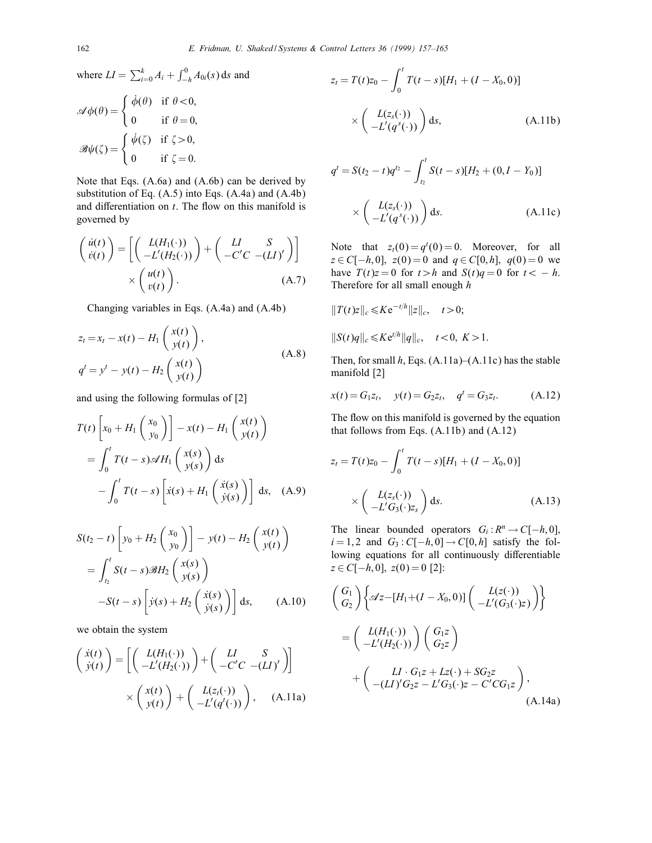where  $LI = \sum_{i=0}^{k} A_i + \int_{-h}^{0} A_{0i}(s) \, ds$  and

$$
\mathscr{A}\phi(\theta) = \begin{cases} \dot{\phi}(\theta) & \text{if } \theta < 0, \\ 0 & \text{if } \theta = 0, \end{cases}
$$

$$
\mathscr{B}\psi(\zeta) = \begin{cases} \dot{\psi}(\zeta) & \text{if } \zeta > 0, \\ 0 & \text{if } \zeta = 0. \end{cases}
$$

Note that Eqs. (A.6a) and (A.6b) can be derived by substitution of Eq.  $(A.5)$  into Eqs.  $(A.4a)$  and  $(A.4b)$ and differentiation on  $t$ . The flow on this manifold is governed by

$$
\begin{pmatrix}\n\dot{u}(t) \\
\dot{v}(t)\n\end{pmatrix} = \left[ \begin{pmatrix}\nL(H_1(\cdot)) \\
-L'(H_2(\cdot))\n\end{pmatrix} + \begin{pmatrix}\nLI & S \\
-C'C & -(LI)'\n\end{pmatrix} \right] \times \begin{pmatrix}\nu(t) \\
v(t)\n\end{pmatrix}.
$$
\n(A.7)

Changing variables in Eqs. (A.4a) and (A.4b)

$$
z_t = x_t - x(t) - H_1 \begin{pmatrix} x(t) \\ y(t) \end{pmatrix},
$$
  
\n
$$
q^t = y^t - y(t) - H_2 \begin{pmatrix} x(t) \\ y(t) \end{pmatrix}
$$
\n(A.8)

and using the following formulas of [2]

$$
T(t)\left[x_0 + H_1\left(\begin{array}{c} x_0 \\ y_0 \end{array}\right)\right] - x(t) - H_1\left(\begin{array}{c} x(t) \\ y(t) \end{array}\right)
$$
  
= 
$$
\int_0^t T(t-s)\mathscr{A}H_1\left(\begin{array}{c} x(s) \\ y(s) \end{array}\right) ds
$$
  

$$
-\int_0^t T(t-s)\left[\dot{x}(s) + H_1\left(\begin{array}{c} \dot{x}(s) \\ \dot{y}(s) \end{array}\right)\right] ds, \quad (A.9)
$$

$$
S(t_2 - t) \left[ y_0 + H_2 \begin{pmatrix} x_0 \\ y_0 \end{pmatrix} \right] - y(t) - H_2 \begin{pmatrix} x(t) \\ y(t) \end{pmatrix}
$$
  
= 
$$
\int_{t_2}^t S(t - s) \mathscr{B} H_2 \begin{pmatrix} x(s) \\ y(s) \end{pmatrix}
$$
  
-
$$
S(t - s) \left[ \dot{y}(s) + H_2 \begin{pmatrix} \dot{x}(s) \\ \dot{y}(s) \end{pmatrix} \right] ds,
$$
 (A.10)

we obtain the system

$$
\begin{pmatrix}\n\dot{x}(t) \\
\dot{y}(t)\n\end{pmatrix} = \left[ \begin{pmatrix}\nL(H_1(\cdot)) \\
-L'(H_2(\cdot))\n\end{pmatrix} + \begin{pmatrix}\nLI & S \\
-C'C & -(LI)'\n\end{pmatrix} \right] \times \begin{pmatrix}\nx(t) \\
y(t)\n\end{pmatrix} + \begin{pmatrix}\nL(z_t(\cdot)) \\
-L'(q'(\cdot))\n\end{pmatrix}, \quad \text{(A.11a)}
$$

$$
z_{t} = T(t)z_{0} - \int_{0}^{t} T(t - s)[H_{1} + (I - X_{0}, 0)]
$$
  
 
$$
\times \left( \frac{L(z_{s}(\cdot))}{-L'(q^{s}(\cdot))} \right) ds, \qquad (A.11b)
$$

$$
q^{t} = S(t_{2} - t)q^{t_{2}} - \int_{t_{2}}^{t} S(t - s)[H_{2} + (0, I - Y_{0})]
$$
  
 
$$
\times \left(\begin{array}{c} L(z_{s}(\cdot)) \\ -L'(q^{s}(\cdot)) \end{array}\right) ds.
$$
 (A.11c)

Note that  $z_t(0) = q^t(0) = 0$ . Moreover, for all  $z \in C[-h, 0], z(0) = 0 \text{ and } q \in C[0, h], q(0) = 0 \text{ we}$ have  $T(t)z = 0$  for  $t > h$  and  $S(t)q = 0$  for  $t < -h$ . Therefore for all small enough h

$$
||T(t)z||_c \leq Ke^{-t/h}||z||_c, \quad t > 0;
$$
  

$$
||S(t)q||_c \leq Ke^{t/h}||q||_c, \quad t < 0, \ K > 1.
$$

Then, for small  $h$ , Eqs. (A.11a)–(A.11c) has the stable manifold [2]

$$
x(t) = G_1 z_t, \quad y(t) = G_2 z_t, \quad q^t = G_3 z_t.
$$
 (A.12)

The flow on this manifold is governed by the equation that follows from Eqs. (A.11b) and (A.12)

$$
z_{t} = T(t)z_{0} - \int_{0}^{t} T(t - s)[H_{1} + (I - X_{0}, 0)]
$$
  
 
$$
\times \left( \frac{L(z_{s}(\cdot))}{-L'G_{3}(\cdot)z_{s}} \right) ds.
$$
 (A.13)

The linear bounded operators  $G_i : R^n \to C[-h, 0]$ ,  $i = 1, 2$  and  $G_3$ :  $C[-h, 0] \rightarrow C[0, h]$  satisfy the following equations for all continuously differentiable  $z \in C[-h, 0], z(0) = 0$  [2]:

$$
\begin{aligned}\n\left(\begin{array}{c} G_1 \\ G_2 \end{array}\right) \left\{ \mathscr{A}z - [H_1 + (I - X_0, 0)] \begin{pmatrix} L(z(\cdot)) \\ -L'(G_3(\cdot)z) \end{pmatrix} \right\} \\
= \left(\begin{array}{c} L(H_1(\cdot)) \\ -L'(H_2(\cdot)) \end{array}\right) \begin{pmatrix} G_1 z \\ G_2 z \end{pmatrix} \\
+ \left(\begin{array}{c} LI \cdot G_1 z + Lz(\cdot) + SG_2 z \\ -(LI)'G_2 z - L'G_3(\cdot)z - C'CG_1z \end{array}\right),\n\end{aligned} \tag{A.14a}
$$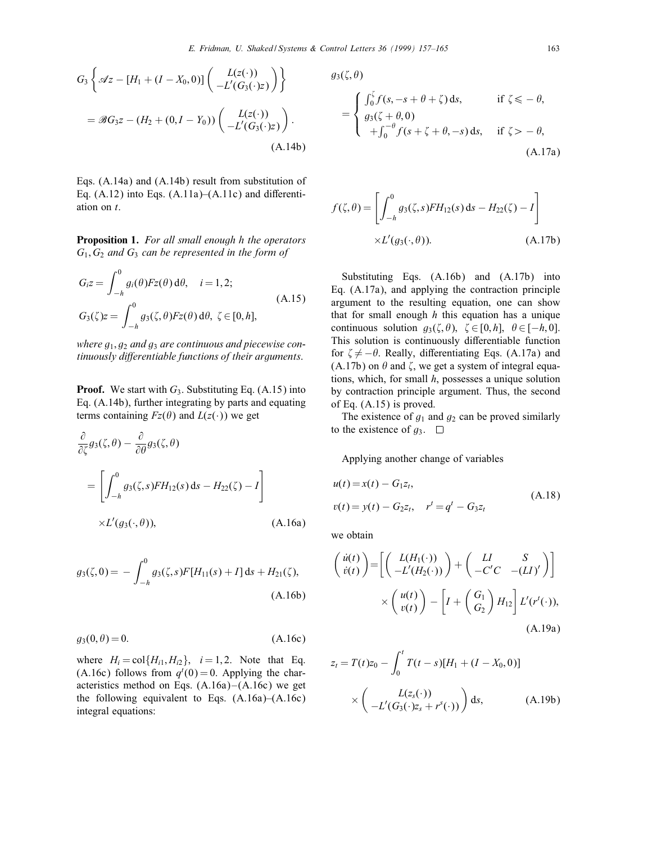$$
G_3\left\{\mathscr{A}z - [H_1 + (I - X_0, 0)] \begin{pmatrix} L(z(\cdot)) \\ -L'(G_3(\cdot)z) \end{pmatrix} \right\}
$$
  
=  $\mathscr{B}G_3z - (H_2 + (0, I - Y_0)) \begin{pmatrix} L(z(\cdot)) \\ -L'(G_3(\cdot)z) \end{pmatrix}.$   
(A.14b)

Eqs. (A.14a) and (A.14b) result from substitution of Eq.  $(A.12)$  into Eqs.  $(A.11a)$ – $(A.11c)$  and differentiation on t.

Proposition 1. For all small enough h the operators  $G_1, G_2$  and  $G_3$  can be represented in the form of

$$
G_i z = \int_{-h}^0 g_i(\theta) Fz(\theta) d\theta, \quad i = 1, 2;
$$
  
\n
$$
G_3(\zeta) z = \int_{-h}^0 g_3(\zeta, \theta) Fz(\theta) d\theta, \ \zeta \in [0, h],
$$
\n(A.15)

where  $g_1, g_2$  and  $g_3$  are continuous and piecewise continuously differentiable functions of their arguments.

**Proof.** We start with  $G_3$ . Substituting Eq. (A.15) into Eq. (A.14b), further integrating by parts and equating terms containing  $F_z(\theta)$  and  $L(z(\cdot))$  we get

$$
\frac{\partial}{\partial \zeta} g_3(\zeta, \theta) - \frac{\partial}{\partial \theta} g_3(\zeta, \theta)
$$
\n
$$
= \left[ \int_{-h}^0 g_3(\zeta, s) F H_{12}(s) \, \mathrm{d} s - H_{22}(\zeta) - I \right]
$$
\n
$$
\times L'(g_3(\cdot, \theta)), \tag{A.16a}
$$

$$
g_3(\zeta, 0) = -\int_{-h}^0 g_3(\zeta, s) F[H_{11}(s) + I] ds + H_{21}(\zeta),
$$
\n(A.16b)

$$
g_3(0,\theta) = 0.\tag{A.16c}
$$

where  $H_i = \text{col}\lbrace H_{i1}, H_{i2} \rbrace$ ,  $i = 1, 2$ . Note that Eq. (A.16c) follows from  $q^t(0) = 0$ . Applying the characteristics method on Eqs.  $(A.16a) - (A.16c)$  we get the following equivalent to Eqs.  $(A.16a)$ – $(A.16c)$ integral equations:

 $g_3(\zeta, \theta)$ 

$$
= \begin{cases} \int_0^{\zeta} f(s, -s + \theta + \zeta) ds, & \text{if } \zeta \leq -\theta, \\ g_3(\zeta + \theta, 0) \\ + \int_0^{-\theta} f(s + \zeta + \theta, -s) ds, & \text{if } \zeta > -\theta, \end{cases}
$$
\n(A.17a)

$$
f(\zeta, \theta) = \left[ \int_{-h}^{0} g_3(\zeta, s) FH_{12}(s) \, ds - H_{22}(\zeta) - I \right]
$$

$$
\times L'(g_3(\cdot, \theta)).
$$
 (A.17b)

Substituting Eqs. (A.16b) and (A.17b) into Eq. (A.17a), and applying the contraction principle argument to the resulting equation, one can show that for small enough  $h$  this equation has a unique continuous solution  $g_3(\zeta, \theta)$ ,  $\zeta \in [0, h], \theta \in [-h, 0].$ This solution is continuously differentiable function for  $\zeta \neq -\theta$ . Really, differentiating Eqs. (A.17a) and  $(A.17b)$  on  $\theta$  and  $\zeta$ , we get a system of integral equations, which, for small  $h$ , possesses a unique solution by contraction principle argument. Thus, the second of Eq. (A.15) is proved.

The existence of  $g_1$  and  $g_2$  can be proved similarly to the existence of  $g_3$ .  $\square$ 

Applying another change of variables

$$
u(t) = x(t) - G_1 z_t,
$$
  
\n
$$
v(t) = y(t) - G_2 z_t, \quad r^t = q^t - G_3 z_t
$$
\n(A.18)

we obtain

$$
\begin{pmatrix}\n\dot{u}(t) \\
\dot{v}(t)\n\end{pmatrix} = \left[ \begin{pmatrix}\nL(H_1(\cdot)) \\
-L'(H_2(\cdot))\n\end{pmatrix} + \begin{pmatrix}\nLI & S \\
-C'C & -(LI)'\n\end{pmatrix} \right] \times \begin{pmatrix}\nu(t) \\
v(t)\n\end{pmatrix} - \left[I + \begin{pmatrix} G_1 \\ G_2 \end{pmatrix} H_{12}\right] L'(r^t(\cdot)),
$$
\n(A.19a)

$$
z_{t} = T(t)z_{0} - \int_{0}^{t} T(t - s)[H_{1} + (I - X_{0}, 0)]
$$

$$
\times \left( \frac{L(z_{s}(\cdot))}{-L'(G_{3}(\cdot)z_{s} + r^{s}(\cdot))} \right) ds, \qquad (A.19b)
$$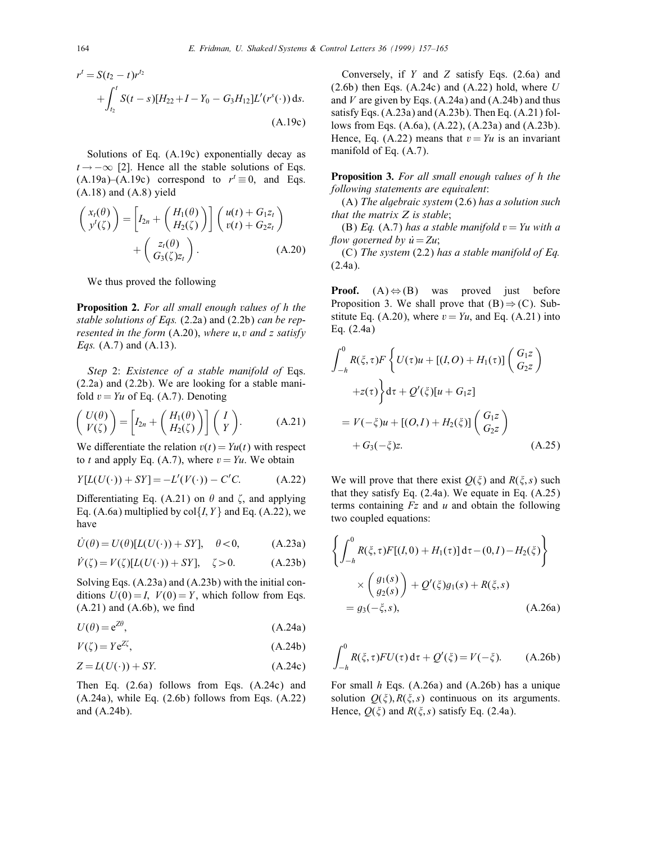$$
r^{t} = S(t_{2} - t)r^{t_{2}} + \int_{t_{2}}^{t} S(t - s)[H_{22} + I - Y_{0} - G_{3}H_{12}]L'(r^{s}(\cdot)) ds.
$$
  
(A.19c)

Solutions of Eq. (A.19c) exponentially decay as  $t \rightarrow -\infty$  [2]. Hence all the stable solutions of Eqs.  $(A.19a)$ – $(A.19c)$  correspond to  $r' \equiv 0$ , and Eqs.  $(A.18)$  and  $(A.8)$  yield

$$
\begin{pmatrix} x_t(\theta) \\ y'(\zeta) \end{pmatrix} = \left[ I_{2n} + \begin{pmatrix} H_1(\theta) \\ H_2(\zeta) \end{pmatrix} \right] \begin{pmatrix} u(t) + G_1 z_t \\ v(t) + G_2 z_t \end{pmatrix} + \begin{pmatrix} z_t(\theta) \\ G_3(\zeta) z_t \end{pmatrix}.
$$
 (A.20)

We thus proved the following

**Proposition 2.** For all small enough values of h the stable solutions of Eqs.  $(2.2a)$  and  $(2.2b)$  can be represented in the form  $(A.20)$ , where u, v and z satisfy *Eqs.* (A.7) and (A.13).

Step 2: Existence of a stable manifold of Eqs. (2.2a) and (2.2b). We are looking for a stable manifold  $v = Yu$  of Eq. (A.7). Denoting

$$
\begin{pmatrix} U(\theta) \\ V(\zeta) \end{pmatrix} = \left[ I_{2n} + \begin{pmatrix} H_1(\theta) \\ H_2(\zeta) \end{pmatrix} \right] \begin{pmatrix} I \\ Y \end{pmatrix}.
$$
 (A.21)

We differentiate the relation  $v(t) = Yu(t)$  with respect to t and apply Eq. (A.7), where  $v = Yu$ . We obtain

$$
Y[L(U(\cdot)) + SY] = -L'(V(\cdot)) - C'C.
$$
 (A.22)

Differentiating Eq. (A.21) on  $\theta$  and  $\zeta$ , and applying Eq. (A.6a) multiplied by  $col{I, Y}$  and Eq. (A.22), we have

$$
\dot{U}(\theta) = U(\theta)[L(U(\cdot)) + SY], \quad \theta < 0,
$$
\n(A.23a)

$$
\dot{V}(\zeta) = V(\zeta)[L(U(\cdot)) + SY], \quad \zeta > 0. \tag{A.23b}
$$

Solving Eqs. (A.23a) and (A.23b) with the initial conditions  $U(0) = I$ ,  $V(0) = Y$ , which follow from Eqs.  $(A.21)$  and  $(A.6b)$ , we find

$$
U(\theta) = e^{Z\theta},\tag{A.24a}
$$

$$
V(\zeta) = Y e^{Z\zeta},\tag{A.24b}
$$

$$
Z = L(U(\cdot)) + SY.
$$
 (A.24c)

Then Eq. (2.6a) follows from Eqs. (A.24c) and  $(A.24a)$ , while Eq.  $(2.6b)$  follows from Eqs.  $(A.22)$ and (A.24b).

Conversely, if Y and Z satisfy Eqs. (2.6a) and  $(2.6b)$  then Eqs.  $(A.24c)$  and  $(A.22)$  hold, where U and  $V$  are given by Eqs. (A.24a) and (A.24b) and thus satisfy Eqs. (A.23a) and (A.23b). Then Eq. (A.21) follows from Eqs. (A.6a), (A.22), (A.23a) and (A.23b). Hence, Eq. (A.22) means that  $v = Yu$  is an invariant manifold of Eq. (A.7).

**Proposition 3.** For all small enough values of h the following statements are equivalent:

 $(A)$  The algebraic system  $(2.6)$  has a solution such that the matrix  $Z$  is stable;

(B) Eq. (A.7) has a stable manifold  $v = Yu$  with a flow governed by  $\dot{u} = Zu$ ;

(C) The system  $(2.2)$  has a stable manifold of Eq. (2.4a).

**Proof.**  $(A) \Leftrightarrow (B)$  was proved just before Proposition 3. We shall prove that  $(B) \Rightarrow (C)$ . Substitute Eq. (A.20), where  $v = Yu$ , and Eq. (A.21) into Eq. (2.4a)

$$
\int_{-h}^{0} R(\xi, \tau) F\left\{ U(\tau)u + [(I, O) + H_1(\tau)] \begin{pmatrix} G_1 z \\ G_2 z \end{pmatrix} \right.
$$
  
+
$$
+ z(\tau) \left\{ d\tau + Q'(\xi)[u + G_1 z] \right\}
$$
  
= 
$$
V(-\xi)u + [(O, I) + H_2(\xi)] \begin{pmatrix} G_1 z \\ G_2 z \end{pmatrix}
$$
  
+ 
$$
G_3(-\xi)z.
$$
 (A.25)

We will prove that there exist  $O(\xi)$  and  $R(\xi, s)$  such that they satisfy Eq.  $(2.4a)$ . We equate in Eq.  $(A.25)$ terms containing  $Fz$  and u and obtain the following two coupled equations:

$$
\left\{ \int_{-h}^{0} R(\xi, \tau) F[(I, 0) + H_1(\tau)] d\tau - (0, I) - H_2(\xi) \right\}
$$
  
 
$$
\times \left( \frac{g_1(s)}{g_2(s)} \right) + Q'(\xi) g_1(s) + R(\xi, s)
$$
  
=  $g_3(-\xi, s),$  (A.26a)

$$
\int_{-h}^{0} R(\xi, \tau) F U(\tau) d\tau + Q'(\xi) = V(-\xi). \quad (A.26b)
$$

For small  $h$  Eqs. (A.26a) and (A.26b) has a unique solution  $Q(\xi)$ ,  $R(\xi, s)$  continuous on its arguments. Hence,  $Q(\xi)$  and  $R(\xi, s)$  satisfy Eq. (2.4a).